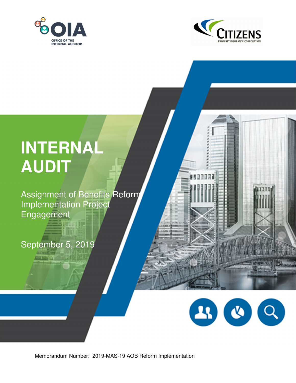



**MARTINE** 

# **INTERNAL AUDIT**

Assignment of Benefits Reform Implementation Project Engagement

**STARTED LINE** 

# September 5, 2019

 $2300$  $\overline{Q}$ 

Memorandum Number: 2019-MAS-19 AOB Reform Implementation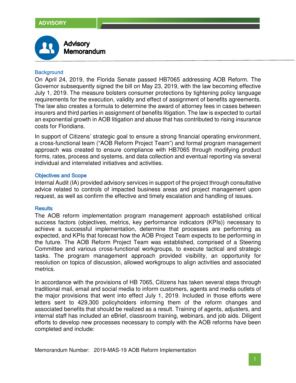

# **Background**

On April 24, 2019, the Florida Senate passed HB7065 addressing AOB Reform. The Governor subsequently signed the bill on May 23, 2019, with the law becoming effective July 1, 2019. The measure bolsters consumer protections by tightening policy language requirements for the execution, validity and effect of assignment of benefits agreements. The law also creates a formula to determine the award of attorney fees in cases between insurers and third parties in assignment of benefits litigation. The law is expected to curtail an exponential growth in AOB litigation and abuse that has contributed to rising insurance costs for Floridians.

In support of Citizens' strategic goal to ensure a strong financial operating environment, a cross-functional team ("AOB Reform Project Team") and formal program management approach was created to ensure compliance with HB7065 through modifying product forms, rates, process and systems, and data collection and eventual reporting via several individual and interrelated initiatives and activities.

# **Objectives and Scope**

Internal Audit (IA) provided advisory services in support of the project through consultative advice related to controls of impacted business areas and project management upon request, as well as confirm the effective and timely escalation and handling of issues.

### **Results**

The AOB reform implementation program management approach established critical success factors (objectives, metrics, key performance indicators (KPIs)) necessary to achieve a successful implementation, determine that processes are performing as expected, and KPIs that forecast how the AOB Project Team expects to be performing in the future. The AOB Reform Project Team was established, comprised of a Steering Committee and various cross-functional workgroups, to execute tactical and strategic tasks. The program management approach provided visibility, an opportunity for resolution on topics of discussion, allowed workgroups to align activities and associated metrics.

In accordance with the provisions of HB 7065, Citizens has taken several steps through traditional mail, email and social media to inform customers, agents and media outlets of the major provisions that went into effect July 1, 2019. Included in those efforts were letters sent to 429,300 policyholders informing them of the reform changes and associated benefits that should be realized as a result. Training of agents, adjusters, and internal staff has included an eBrief, classroom training, webinars, and job aids. Diligent efforts to develop new processes necessary to comply with the AOB reforms have been completed and include:

Memorandum Number: 2019-MAS-19 AOB Reform Implementation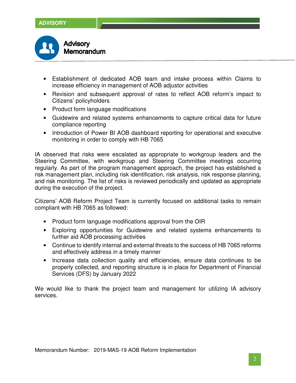

- Establishment of dedicated AOB team and intake process within Claims to increase efficiency in management of AOB adjustor activities
- Revision and subsequent approval of rates to reflect AOB reform's impact to Citizens' policyholders
- Product form language modifications
- Guidewire and related systems enhancements to capture critical data for future compliance reporting
- Introduction of Power BI AOB dashboard reporting for operational and executive monitoring in order to comply with HB 7065

IA observed that risks were escalated as appropriate to workgroup leaders and the Steering Committee, with workgroup and Steering Committee meetings occurring regularly. As part of the program management approach, the project has established a risk management plan, including risk identification, risk analysis, risk response planning, and risk monitoring. The list of risks is reviewed periodically and updated as appropriate during the execution of the project.

Citizens' AOB Reform Project Team is currently focused on additional tasks to remain compliant with HB 7065 as followed:

- Product form language modifications approval from the OIR
- Exploring opportunities for Guidewire and related systems enhancements to further aid AOB processing activities
- Continue to identify internal and external threats to the success of HB 7065 reforms and effectively address in a timely manner
- Increase data collection quality and efficiencies, ensure data continues to be properly collected, and reporting structure is in place for Department of Financial Services (DFS) by January 2022

We would like to thank the project team and management for utilizing IA advisory services.